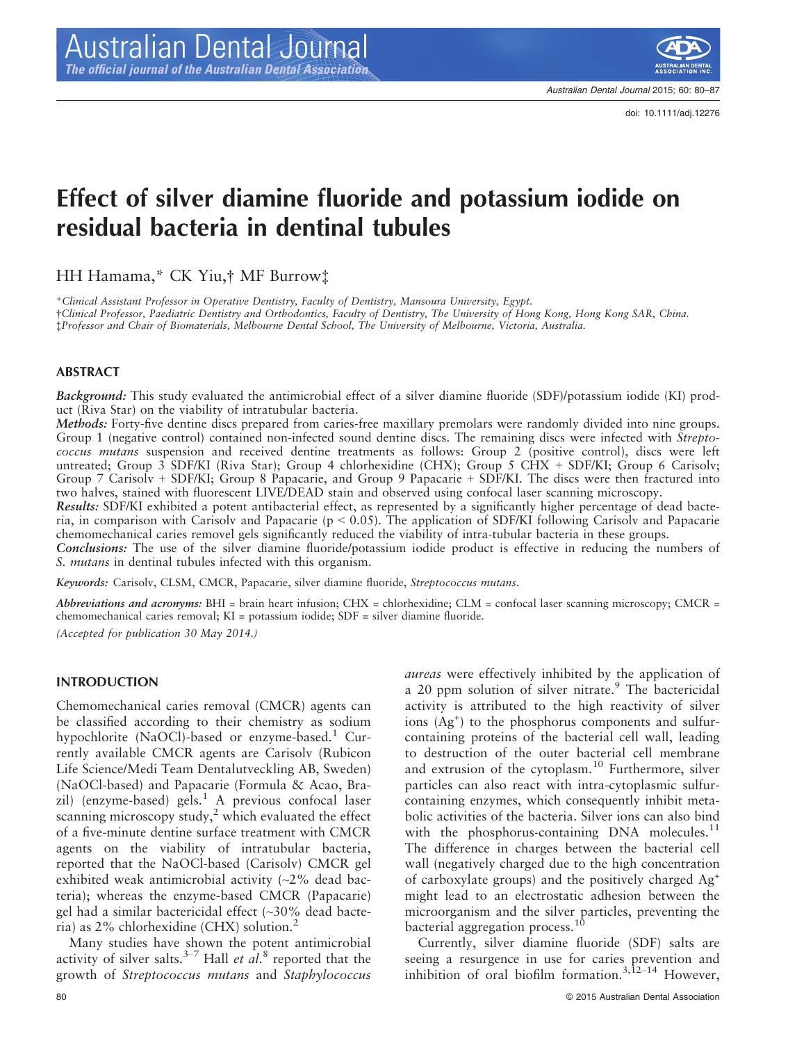

Australian Dental Journal 2015; 60: 80–87

# Effect of silver diamine fluoride and potassium iodide on residual bacteria in dentinal tubules

HH Hamama,\* CK Yiu,† MF Burrow‡

\*Clinical Assistant Professor in Operative Dentistry, Faculty of Dentistry, Mansoura University, Egypt. †Clinical Professor, Paediatric Dentistry and Orthodontics, Faculty of Dentistry, The University of Hong Kong, Hong Kong SAR, China. ‡Professor and Chair of Biomaterials, Melbourne Dental School, The University of Melbourne, Victoria, Australia.

#### ABSTRACT

Background: This study evaluated the antimicrobial effect of a silver diamine fluoride (SDF)/potassium iodide (KI) product (Riva Star) on the viability of intratubular bacteria.

Methods: Forty-five dentine discs prepared from caries-free maxillary premolars were randomly divided into nine groups. Group 1 (negative control) contained non-infected sound dentine discs. The remaining discs were infected with Streptococcus mutans suspension and received dentine treatments as follows: Group 2 (positive control), discs were left untreated; Group 3 SDF/KI (Riva Star); Group 4 chlorhexidine (CHX); Group 5 CHX + SDF/KI; Group 6 Carisolv; Group 7 Carisolv + SDF/KI; Group 8 Papacarie, and Group 9 Papacarie + SDF/KI. The discs were then fractured into two halves, stained with fluorescent LIVE/DEAD stain and observed using confocal laser scanning microscopy.

Results: SDF/KI exhibited a potent antibacterial effect, as represented by a significantly higher percentage of dead bacteria, in comparison with Carisolv and Papacarie ( $p < 0.05$ ). The application of SDF/KI following Carisolv and Papacarie chemomechanical caries removel gels significantly reduced the viability of intra-tubular bacteria in these groups.

Conclusions: The use of the silver diamine fluoride/potassium iodide product is effective in reducing the numbers of S. mutans in dentinal tubules infected with this organism.

Keywords: Carisolv, CLSM, CMCR, Papacarie, silver diamine fluoride, Streptococcus mutans.

Abbreviations and acronyms: BHI = brain heart infusion; CHX = chlorhexidine; CLM = confocal laser scanning microscopy; CMCR = chemomechanical caries removal; KI = potassium iodide; SDF = silver diamine fluoride.

(Accepted for publication 30 May 2014.)

#### INTRODUCTION

Chemomechanical caries removal (CMCR) agents can be classified according to their chemistry as sodium hypochlorite (NaOCl)-based or enzyme-based.<sup>1</sup> Currently available CMCR agents are Carisolv (Rubicon Life Science/Medi Team Dentalutveckling AB, Sweden) (NaOCl-based) and Papacarie (Formula & Acao, Brazil) (enzyme-based) gels.<sup>1</sup> A previous confocal laser scanning microscopy study, $2$  which evaluated the effect of a five-minute dentine surface treatment with CMCR agents on the viability of intratubular bacteria, reported that the NaOCl-based (Carisolv) CMCR gel exhibited weak antimicrobial activity  $\sim$  2% dead bacteria); whereas the enzyme-based CMCR (Papacarie) gel had a similar bactericidal effect (~30% dead bacteria) as 2% chlorhexidine (CHX) solution.<sup>2</sup>

Many studies have shown the potent antimicrobial activity of silver salts.<sup>3-7</sup> Hall et  $al$ .<sup>8</sup> reported that the growth of Streptococcus mutans and Staphylococcus to destruction of the outer bacterial cell membrane and extrusion of the cytoplasm.10 Furthermore, silver particles can also react with intra-cytoplasmic sulfurcontaining enzymes, which consequently inhibit metabolic activities of the bacteria. Silver ions can also bind with the phosphorus-containing DNA molecules. $^{11}$ The difference in charges between the bacterial cell wall (negatively charged due to the high concentration of carboxylate groups) and the positively charged Ag<sup>+</sup> might lead to an electrostatic adhesion between the microorganism and the silver particles, preventing the bacterial aggregation process.<sup>10</sup> Currently, silver diamine fluoride (SDF) salts are seeing a resurgence in use for caries prevention and inhibition of oral biofilm formation.<sup>3,12–14</sup> However,

aureas were effectively inhibited by the application of a 20 ppm solution of silver nitrate.<sup>9</sup> The bactericidal activity is attributed to the high reactivity of silver ions (Ag<sup>+</sup> ) to the phosphorus components and sulfurcontaining proteins of the bacterial cell wall, leading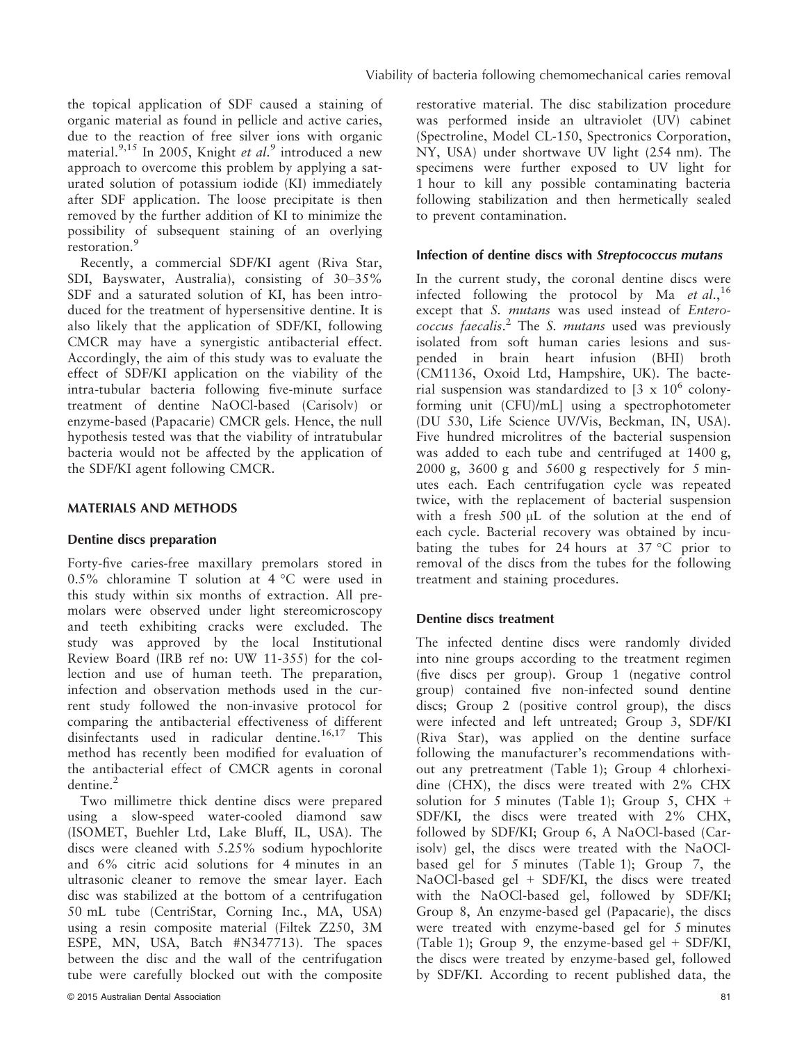the topical application of SDF caused a staining of organic material as found in pellicle and active caries, due to the reaction of free silver ions with organic material.<sup>9,15</sup> In 2005, Knight et al.<sup>9</sup> introduced a new approach to overcome this problem by applying a saturated solution of potassium iodide (KI) immediately after SDF application. The loose precipitate is then removed by the further addition of KI to minimize the possibility of subsequent staining of an overlying restoration.<sup>9</sup>

Recently, a commercial SDF/KI agent (Riva Star, SDI, Bayswater, Australia), consisting of 30–35% SDF and a saturated solution of KI, has been introduced for the treatment of hypersensitive dentine. It is also likely that the application of SDF/KI, following CMCR may have a synergistic antibacterial effect. Accordingly, the aim of this study was to evaluate the effect of SDF/KI application on the viability of the intra-tubular bacteria following five-minute surface treatment of dentine NaOCl-based (Carisolv) or enzyme-based (Papacarie) CMCR gels. Hence, the null hypothesis tested was that the viability of intratubular bacteria would not be affected by the application of the SDF/KI agent following CMCR.

## MATERIALS AND METHODS

## Dentine discs preparation

Forty-five caries-free maxillary premolars stored in 0.5% chloramine T solution at  $4^{\circ}$ C were used in this study within six months of extraction. All premolars were observed under light stereomicroscopy and teeth exhibiting cracks were excluded. The study was approved by the local Institutional Review Board (IRB ref no: UW 11-355) for the collection and use of human teeth. The preparation, infection and observation methods used in the current study followed the non-invasive protocol for comparing the antibacterial effectiveness of different disinfectants used in radicular dentine.<sup>16,17</sup> This method has recently been modified for evaluation of the antibacterial effect of CMCR agents in coronal dentine.<sup>2</sup>

Two millimetre thick dentine discs were prepared using a slow-speed water-cooled diamond saw (ISOMET, Buehler Ltd, Lake Bluff, IL, USA). The discs were cleaned with 5.25% sodium hypochlorite and 6% citric acid solutions for 4 minutes in an ultrasonic cleaner to remove the smear layer. Each disc was stabilized at the bottom of a centrifugation 50 mL tube (CentriStar, Corning Inc., MA, USA) using a resin composite material (Filtek Z250, 3M ESPE, MN, USA, Batch #N347713). The spaces between the disc and the wall of the centrifugation tube were carefully blocked out with the composite restorative material. The disc stabilization procedure was performed inside an ultraviolet (UV) cabinet (Spectroline, Model CL-150, Spectronics Corporation, NY, USA) under shortwave UV light (254 nm). The specimens were further exposed to UV light for 1 hour to kill any possible contaminating bacteria following stabilization and then hermetically sealed to prevent contamination.

#### Infection of dentine discs with Streptococcus mutans

In the current study, the coronal dentine discs were infected following the protocol by Ma *et al.*,<sup>16</sup> except that S. mutans was used instead of Enterococcus faecalis. <sup>2</sup> The S. mutans used was previously isolated from soft human caries lesions and suspended in brain heart infusion (BHI) broth (CM1136, Oxoid Ltd, Hampshire, UK). The bacterial suspension was standardized to  $[3 \times 10^6 \text{ colony}$ forming unit (CFU)/mL] using a spectrophotometer (DU 530, Life Science UV/Vis, Beckman, IN, USA). Five hundred microlitres of the bacterial suspension was added to each tube and centrifuged at 1400 g, 2000 g, 3600 g and 5600 g respectively for 5 minutes each. Each centrifugation cycle was repeated twice, with the replacement of bacterial suspension with a fresh  $500 \mu L$  of the solution at the end of each cycle. Bacterial recovery was obtained by incubating the tubes for 24 hours at  $37^{\circ}$ C prior to removal of the discs from the tubes for the following treatment and staining procedures.

## Dentine discs treatment

The infected dentine discs were randomly divided into nine groups according to the treatment regimen (five discs per group). Group 1 (negative control group) contained five non-infected sound dentine discs; Group 2 (positive control group), the discs were infected and left untreated; Group 3, SDF/KI (Riva Star), was applied on the dentine surface following the manufacturer's recommendations without any pretreatment (Table 1); Group 4 chlorhexidine (CHX), the discs were treated with 2% CHX solution for 5 minutes (Table 1); Group 5, CHX  $+$ SDF/KI, the discs were treated with 2% CHX, followed by SDF/KI; Group 6, A NaOCl-based (Carisolv) gel, the discs were treated with the NaOClbased gel for 5 minutes (Table 1); Group 7, the NaOCl-based gel + SDF/KI, the discs were treated with the NaOCl-based gel, followed by SDF/KI; Group 8, An enzyme-based gel (Papacarie), the discs were treated with enzyme-based gel for 5 minutes (Table 1); Group 9, the enzyme-based gel + SDF/KI, the discs were treated by enzyme-based gel, followed by SDF/KI. According to recent published data, the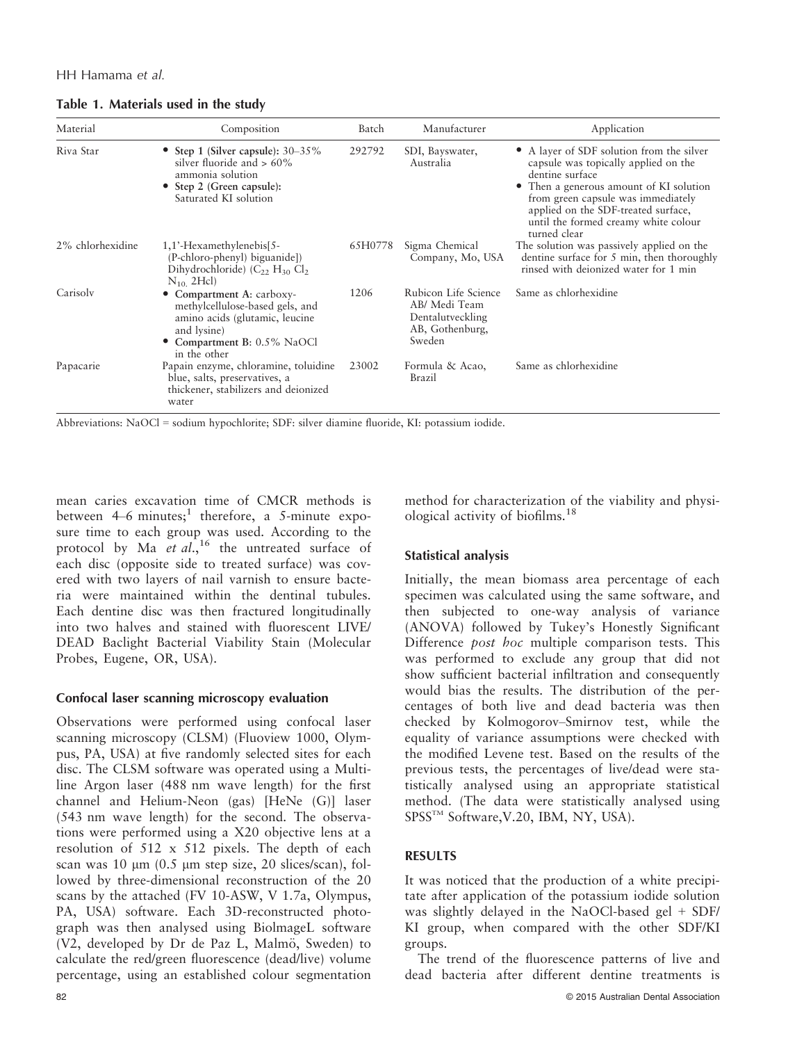|  |  | Table 1. Materials used in the study |  |  |  |  |
|--|--|--------------------------------------|--|--|--|--|
|--|--|--------------------------------------|--|--|--|--|

| Material         | Composition                                                                                                                                                | Batch   | Manufacturer                                                                           | Application                                                                                                                                                                                                                                                                        |  |  |
|------------------|------------------------------------------------------------------------------------------------------------------------------------------------------------|---------|----------------------------------------------------------------------------------------|------------------------------------------------------------------------------------------------------------------------------------------------------------------------------------------------------------------------------------------------------------------------------------|--|--|
| Riva Star        | • Step 1 (Silver capsule): $30-35\%$<br>silver fluoride and $> 60\%$<br>ammonia solution<br>• Step 2 (Green capsule):<br>Saturated KI solution             | 292792  | SDI, Bayswater,<br>Australia                                                           | • A layer of SDF solution from the silver<br>capsule was topically applied on the<br>dentine surface<br>Then a generous amount of KI solution<br>from green capsule was immediately<br>applied on the SDF-treated surface,<br>until the formed creamy white colour<br>turned clear |  |  |
| 2% chlorhexidine | 1,1'-Hexamethylenebis[5-<br>(P-chloro-phenyl) biguanide])<br>Dihydrochloride) $(C_{22} H_{30} Cl2)$<br>$N_{10}$ 2Hcl)                                      | 65H0778 | Sigma Chemical<br>Company, Mo, USA                                                     | The solution was passively applied on the<br>dentine surface for 5 min, then thoroughly<br>rinsed with deionized water for 1 min                                                                                                                                                   |  |  |
| Carisoly         | • Compartment A: carboxy-<br>methylcellulose-based gels, and<br>amino acids (glutamic, leucine<br>and lysine)<br>Compartment B: 0.5% NaOCl<br>in the other | 1206    | Rubicon Life Science<br>AB/ Medi Team<br>Dentalutveckling<br>AB, Gothenburg,<br>Sweden | Same as chlorhexidine                                                                                                                                                                                                                                                              |  |  |
| Papacarie        | Papain enzyme, chloramine, toluidine<br>blue, salts, preservatives, a<br>thickener, stabilizers and deionized<br>water                                     | 23002   | Formula & Acao,<br>Brazil                                                              | Same as chlorhexidine                                                                                                                                                                                                                                                              |  |  |

Abbreviations: NaOCl = sodium hypochlorite; SDF: silver diamine fluoride, KI: potassium iodide.

mean caries excavation time of CMCR methods is between  $4-6$  minutes;<sup>1</sup> therefore, a 5-minute exposure time to each group was used. According to the protocol by Ma et  $al$ ,<sup>16</sup> the untreated surface of each disc (opposite side to treated surface) was covered with two layers of nail varnish to ensure bacteria were maintained within the dentinal tubules. Each dentine disc was then fractured longitudinally into two halves and stained with fluorescent LIVE/ DEAD Baclight Bacterial Viability Stain (Molecular Probes, Eugene, OR, USA).

## Confocal laser scanning microscopy evaluation

Observations were performed using confocal laser scanning microscopy (CLSM) (Fluoview 1000, Olympus, PA, USA) at five randomly selected sites for each disc. The CLSM software was operated using a Multiline Argon laser (488 nm wave length) for the first channel and Helium-Neon (gas) [HeNe (G)] laser (543 nm wave length) for the second. The observations were performed using a X20 objective lens at a resolution of 512 x 512 pixels. The depth of each scan was 10  $\mu$ m (0.5  $\mu$ m step size, 20 slices/scan), followed by three-dimensional reconstruction of the 20 scans by the attached (FV 10-ASW, V 1.7a, Olympus, PA, USA) software. Each 3D-reconstructed photograph was then analysed using BiolmageL software  $(V2,$  developed by Dr de Paz L, Malmö, Sweden) to calculate the red/green fluorescence (dead/live) volume percentage, using an established colour segmentation

method for characterization of the viability and physiological activity of biofilms.<sup>18</sup>

# Statistical analysis

Initially, the mean biomass area percentage of each specimen was calculated using the same software, and then subjected to one-way analysis of variance (ANOVA) followed by Tukey's Honestly Significant Difference post hoc multiple comparison tests. This was performed to exclude any group that did not show sufficient bacterial infiltration and consequently would bias the results. The distribution of the percentages of both live and dead bacteria was then checked by Kolmogorov–Smirnov test, while the equality of variance assumptions were checked with the modified Levene test. Based on the results of the previous tests, the percentages of live/dead were statistically analysed using an appropriate statistical method. (The data were statistically analysed using SPSS<sup>TM</sup> Software, V.20, IBM, NY, USA).

# RESULTS

It was noticed that the production of a white precipitate after application of the potassium iodide solution was slightly delayed in the NaOCl-based gel + SDF/ KI group, when compared with the other SDF/KI groups.

The trend of the fluorescence patterns of live and dead bacteria after different dentine treatments is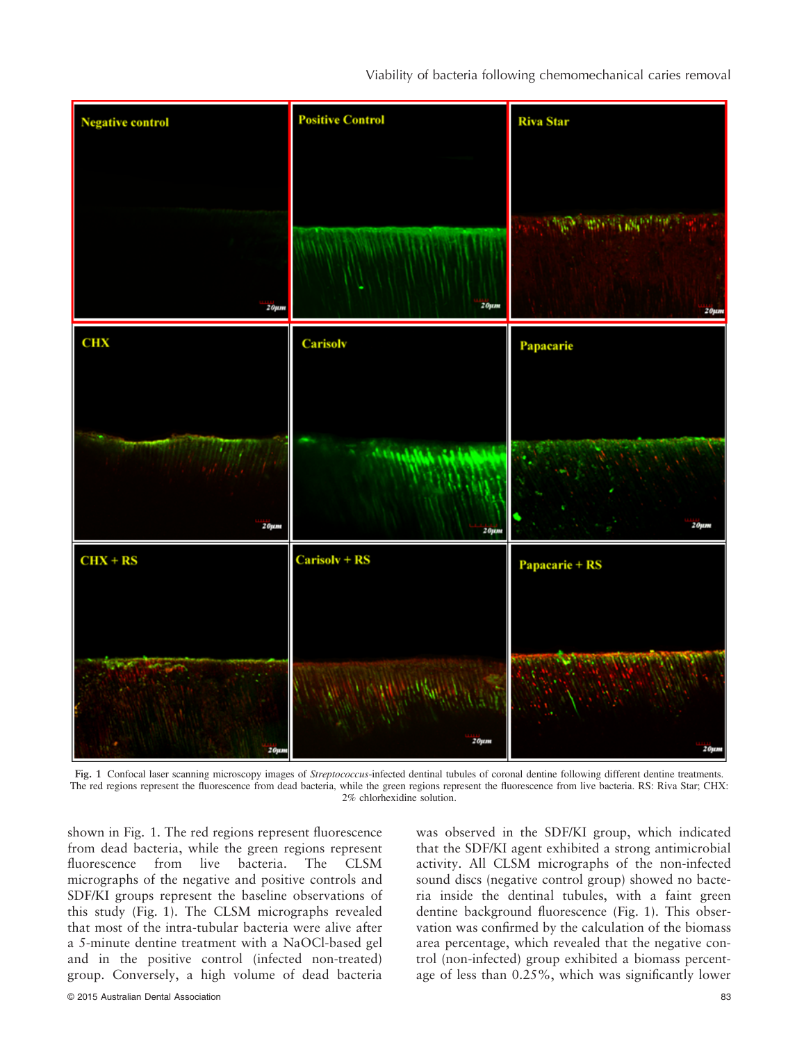

Fig. 1 Confocal laser scanning microscopy images of Streptococcus-infected dentinal tubules of coronal dentine following different dentine treatments. The red regions represent the fluorescence from dead bacteria, while the green regions represent the fluorescence from live bacteria. RS: Riva Star; CHX: 2% chlorhexidine solution.

shown in Fig. 1. The red regions represent fluorescence from dead bacteria, while the green regions represent fluorescence from live bacteria. The CLSM micrographs of the negative and positive controls and SDF/KI groups represent the baseline observations of this study (Fig. 1). The CLSM micrographs revealed that most of the intra-tubular bacteria were alive after a 5-minute dentine treatment with a NaOCl-based gel and in the positive control (infected non-treated) group. Conversely, a high volume of dead bacteria was observed in the SDF/KI group, which indicated that the SDF/KI agent exhibited a strong antimicrobial activity. All CLSM micrographs of the non-infected sound discs (negative control group) showed no bacteria inside the dentinal tubules, with a faint green dentine background fluorescence (Fig. 1). This observation was confirmed by the calculation of the biomass area percentage, which revealed that the negative control (non-infected) group exhibited a biomass percentage of less than 0.25%, which was significantly lower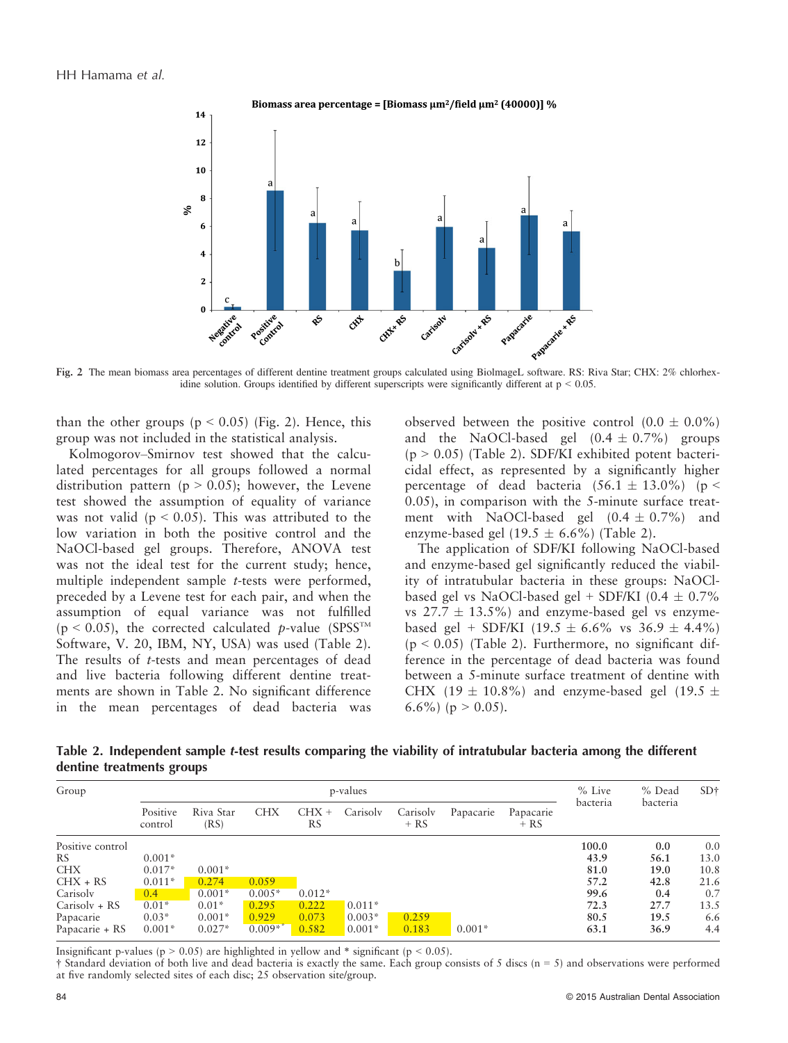

Fig. 2 The mean biomass area percentages of different dentine treatment groups calculated using BiolmageL software. RS: Riva Star; CHX: 2% chlorhexidine solution. Groups identified by different superscripts were significantly different at  $p < 0.05$ .

than the other groups ( $p < 0.05$ ) (Fig. 2). Hence, this group was not included in the statistical analysis.

Kolmogorov–Smirnov test showed that the calculated percentages for all groups followed a normal distribution pattern ( $p > 0.05$ ); however, the Levene test showed the assumption of equality of variance was not valid ( $p < 0.05$ ). This was attributed to the low variation in both the positive control and the NaOCl-based gel groups. Therefore, ANOVA test was not the ideal test for the current study; hence, multiple independent sample t-tests were performed, preceded by a Levene test for each pair, and when the assumption of equal variance was not fulfilled  $(p < 0.05)$ , the corrected calculated p-value (SPSS<sup>TM</sup>) Software, V. 20, IBM, NY, USA) was used (Table 2). The results of t-tests and mean percentages of dead and live bacteria following different dentine treatments are shown in Table 2. No significant difference in the mean percentages of dead bacteria was

observed between the positive control  $(0.0 \pm 0.0\%)$ and the NaOCl-based gel  $(0.4 \pm 0.7\%)$  groups  $(p > 0.05)$  (Table 2). SDF/KI exhibited potent bactericidal effect, as represented by a significantly higher percentage of dead bacteria  $(56.1 \pm 13.0\%)$  (p < 0.05), in comparison with the 5-minute surface treatment with NaOCl-based gel  $(0.4 \pm 0.7\%)$  and enzyme-based gel (19.5  $\pm$  6.6%) (Table 2).

The application of SDF/KI following NaOCl-based and enzyme-based gel significantly reduced the viability of intratubular bacteria in these groups: NaOClbased gel vs NaOCl-based gel + SDF/KI (0.4  $\pm$  0.7% vs  $27.7 \pm 13.5\%$  and enzyme-based gel vs enzymebased gel + SDF/KI (19.5  $\pm$  6.6% vs 36.9  $\pm$  4.4%)  $(p < 0.05)$  (Table 2). Furthermore, no significant difference in the percentage of dead bacteria was found between a 5-minute surface treatment of dentine with CHX (19  $\pm$  10.8%) and enzyme-based gel (19.5  $\pm$ 6.6%) ( $p > 0.05$ ).

Table 2. Independent sample t-test results comparing the viability of intratubular bacteria among the different dentine treatments groups

| Group            |                     | p-values          |            |               |          |                    |           | $%$ Live            | % Dead   | SD <sub>†</sub> |      |
|------------------|---------------------|-------------------|------------|---------------|----------|--------------------|-----------|---------------------|----------|-----------------|------|
|                  | Positive<br>control | Riva Star<br>(RS) | <b>CHX</b> | $CHX +$<br>RS | Carisoly | Carisoly<br>$+ RS$ | Papacarie | Papacarie<br>$+ RS$ | bacteria | bacteria        |      |
| Positive control |                     |                   |            |               |          |                    |           |                     | 100.0    | 0.0             | 0.0  |
| <b>RS</b>        | $0.001*$            |                   |            |               |          |                    |           |                     | 43.9     | 56.1            | 13.0 |
| <b>CHX</b>       | $0.017*$            | $0.001*$          |            |               |          |                    |           |                     | 81.0     | 19.0            | 10.8 |
| $CHX + RS$       | $0.011*$            | 0.274             | 0.059      |               |          |                    |           |                     | 57.2     | 42.8            | 21.6 |
| Carisoly         | 0.4                 | $0.001*$          | $0.005*$   | $0.012*$      |          |                    |           |                     | 99.6     | 0.4             | 0.7  |
| $Carisolv + RS$  | $0.01*$             | $0.01*$           | 0.295      | 0.222         | $0.011*$ |                    |           |                     | 72.3     | 27.7            | 13.5 |
| Papacarie        | $0.03*$             | $0.001*$          | 0.929      | 0.073         | $0.003*$ | 0.259              |           |                     | 80.5     | 19.5            | 6.6  |
| Papacarie + RS   | $0.001*$            | $0.027*$          | $0.009**$  | 0.582         | $0.001*$ | 0.183              | $0.001*$  |                     | 63.1     | 36.9            | 4.4  |

Insignificant p-values ( $p > 0.05$ ) are highlighted in yellow and  $*$  significant ( $p < 0.05$ ).

 $\dagger$  Standard deviation of both live and dead bacteria is exactly the same. Each group consists of 5 discs (n = 5) and observations were performed at five randomly selected sites of each disc; 25 observation site/group.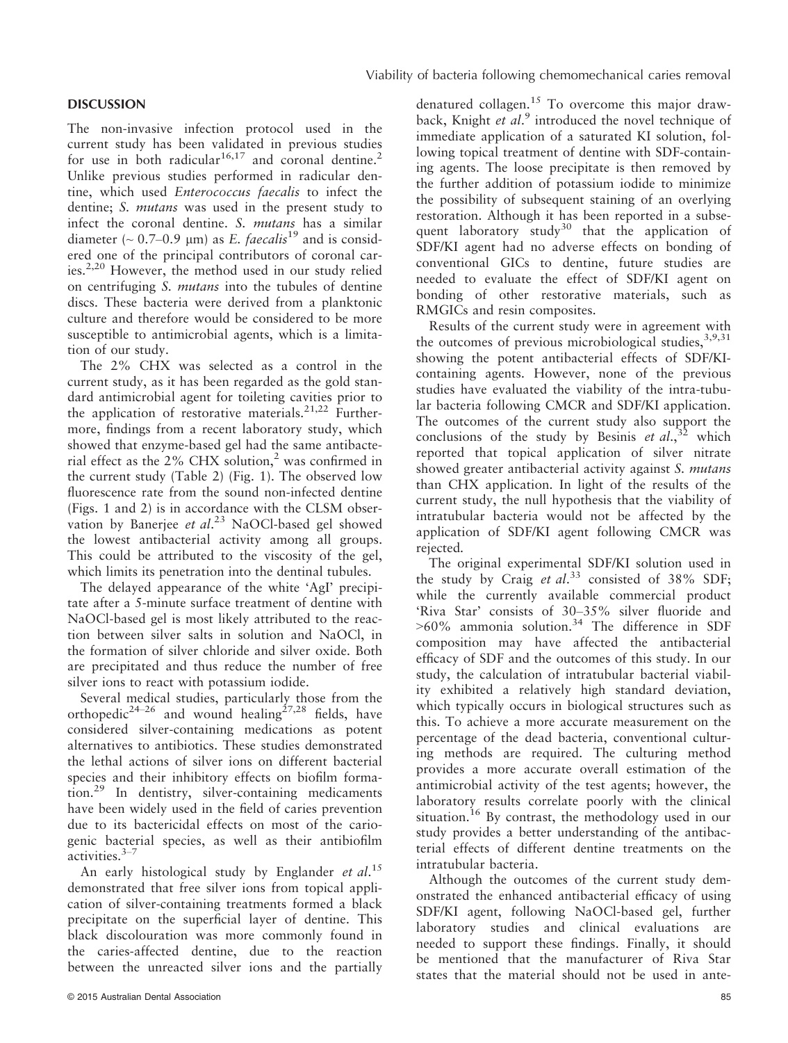#### **DISCUSSION**

The non-invasive infection protocol used in the current study has been validated in previous studies for use in both radicular<sup>16,17</sup> and coronal dentine.<sup>2</sup> Unlike previous studies performed in radicular dentine, which used Enterococcus faecalis to infect the dentine; S. mutans was used in the present study to infect the coronal dentine. S. mutans has a similar diameter ( $\sim$  0.7–0.9 µm) as E. faecalis<sup>19</sup> and is considered one of the principal contributors of coronal caries.2,20 However, the method used in our study relied on centrifuging S. mutans into the tubules of dentine discs. These bacteria were derived from a planktonic culture and therefore would be considered to be more susceptible to antimicrobial agents, which is a limitation of our study.

The 2% CHX was selected as a control in the current study, as it has been regarded as the gold standard antimicrobial agent for toileting cavities prior to the application of restorative materials.<sup>21,22</sup> Furthermore, findings from a recent laboratory study, which showed that enzyme-based gel had the same antibacterial effect as the  $2\%$  CHX solution,<sup>2</sup> was confirmed in the current study (Table 2) (Fig. 1). The observed low fluorescence rate from the sound non-infected dentine (Figs. 1 and 2) is in accordance with the CLSM observation by Banerjee et al.<sup>23</sup> NaOCl-based gel showed the lowest antibacterial activity among all groups. This could be attributed to the viscosity of the gel, which limits its penetration into the dentinal tubules.

The delayed appearance of the white 'AgI' precipitate after a 5-minute surface treatment of dentine with NaOCl-based gel is most likely attributed to the reaction between silver salts in solution and NaOCl, in the formation of silver chloride and silver oxide. Both are precipitated and thus reduce the number of free silver ions to react with potassium iodide.

Several medical studies, particularly those from the orthopedic<sup>24–26</sup> and wound healing<sup>27,28</sup> fields, have considered silver-containing medications as potent alternatives to antibiotics. These studies demonstrated the lethal actions of silver ions on different bacterial species and their inhibitory effects on biofilm formation.<sup>29</sup> In dentistry, silver-containing medicaments have been widely used in the field of caries prevention due to its bactericidal effects on most of the cariogenic bacterial species, as well as their antibiofilm activities.3–<sup>7</sup>

An early histological study by Englander et  $al$ .<sup>15</sup> demonstrated that free silver ions from topical application of silver-containing treatments formed a black precipitate on the superficial layer of dentine. This black discolouration was more commonly found in the caries-affected dentine, due to the reaction between the unreacted silver ions and the partially denatured collagen.<sup>15</sup> To overcome this major drawback, Knight et al.<sup>9</sup> introduced the novel technique of immediate application of a saturated KI solution, following topical treatment of dentine with SDF-containing agents. The loose precipitate is then removed by the further addition of potassium iodide to minimize the possibility of subsequent staining of an overlying restoration. Although it has been reported in a subsequent laboratory study<sup>30</sup> that the application of SDF/KI agent had no adverse effects on bonding of conventional GICs to dentine, future studies are needed to evaluate the effect of SDF/KI agent on bonding of other restorative materials, such as RMGICs and resin composites.

Results of the current study were in agreement with the outcomes of previous microbiological studies,  $3,9,31$ showing the potent antibacterial effects of SDF/KIcontaining agents. However, none of the previous studies have evaluated the viability of the intra-tubular bacteria following CMCR and SDF/KI application. The outcomes of the current study also support the conclusions of the study by Besinis et  $al$ ,  $32$  which reported that topical application of silver nitrate showed greater antibacterial activity against S. mutans than CHX application. In light of the results of the current study, the null hypothesis that the viability of intratubular bacteria would not be affected by the application of SDF/KI agent following CMCR was rejected.

The original experimental SDF/KI solution used in the study by Craig et al.<sup>33</sup> consisted of  $38\%$  SDF; while the currently available commercial product 'Riva Star' consists of 30–35% silver fluoride and  $>60\%$  ammonia solution.<sup>34</sup> The difference in SDF composition may have affected the antibacterial efficacy of SDF and the outcomes of this study. In our study, the calculation of intratubular bacterial viability exhibited a relatively high standard deviation, which typically occurs in biological structures such as this. To achieve a more accurate measurement on the percentage of the dead bacteria, conventional culturing methods are required. The culturing method provides a more accurate overall estimation of the antimicrobial activity of the test agents; however, the laboratory results correlate poorly with the clinical situation.<sup>16</sup> By contrast, the methodology used in our study provides a better understanding of the antibacterial effects of different dentine treatments on the intratubular bacteria.

Although the outcomes of the current study demonstrated the enhanced antibacterial efficacy of using SDF/KI agent, following NaOCl-based gel, further laboratory studies and clinical evaluations are needed to support these findings. Finally, it should be mentioned that the manufacturer of Riva Star states that the material should not be used in ante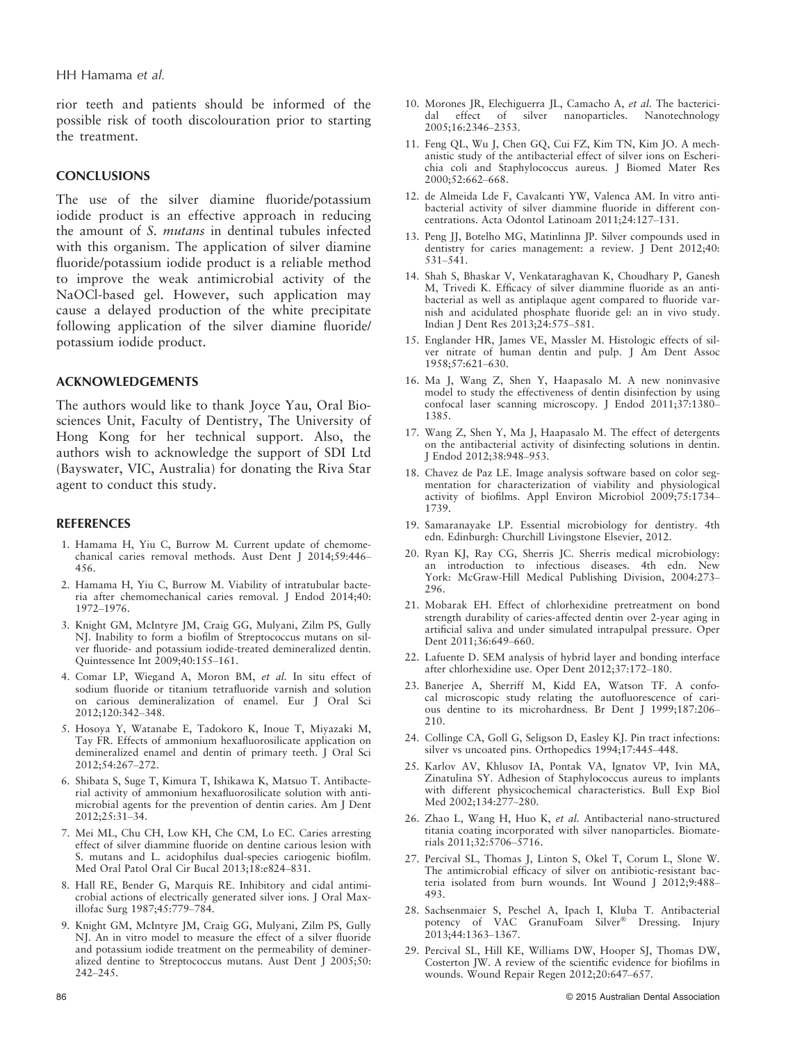HH Hamama et al.

rior teeth and patients should be informed of the possible risk of tooth discolouration prior to starting the treatment.

#### **CONCLUSIONS**

The use of the silver diamine fluoride/potassium iodide product is an effective approach in reducing the amount of S. mutans in dentinal tubules infected with this organism. The application of silver diamine fluoride/potassium iodide product is a reliable method to improve the weak antimicrobial activity of the NaOCl-based gel. However, such application may cause a delayed production of the white precipitate following application of the silver diamine fluoride/ potassium iodide product.

#### ACKNOWLEDGEMENTS

The authors would like to thank Joyce Yau, Oral Biosciences Unit, Faculty of Dentistry, The University of Hong Kong for her technical support. Also, the authors wish to acknowledge the support of SDI Ltd (Bayswater, VIC, Australia) for donating the Riva Star agent to conduct this study.

#### REFERENCES

- 1. Hamama H, Yiu C, Burrow M. Current update of chemomechanical caries removal methods. Aust Dent J 2014;59:446– 456.
- 2. Hamama H, Yiu C, Burrow M. Viability of intratubular bacteria after chemomechanical caries removal. J Endod 2014;40: 1972–1976.
- 3. Knight GM, McIntyre JM, Craig GG, Mulyani, Zilm PS, Gully NJ. Inability to form a biofilm of Streptococcus mutans on silver fluoride- and potassium iodide-treated demineralized dentin. Quintessence Int 2009;40:155–161.
- 4. Comar LP, Wiegand A, Moron BM, et al. In situ effect of sodium fluoride or titanium tetrafluoride varnish and solution on carious demineralization of enamel. Eur J Oral Sci 2012;120:342–348.
- 5. Hosoya Y, Watanabe E, Tadokoro K, Inoue T, Miyazaki M, Tay FR. Effects of ammonium hexafluorosilicate application on demineralized enamel and dentin of primary teeth. J Oral Sci 2012;54:267–272.
- 6. Shibata S, Suge T, Kimura T, Ishikawa K, Matsuo T. Antibacterial activity of ammonium hexafluorosilicate solution with antimicrobial agents for the prevention of dentin caries. Am J Dent 2012;25:31–34.
- 7. Mei ML, Chu CH, Low KH, Che CM, Lo EC. Caries arresting effect of silver diammine fluoride on dentine carious lesion with S. mutans and L. acidophilus dual-species cariogenic biofilm. Med Oral Patol Oral Cir Bucal 2013;18:e824–831.
- 8. Hall RE, Bender G, Marquis RE. Inhibitory and cidal antimicrobial actions of electrically generated silver ions. J Oral Maxillofac Surg 1987;45:779–784.
- 9. Knight GM, McIntyre JM, Craig GG, Mulyani, Zilm PS, Gully NJ. An in vitro model to measure the effect of a silver fluoride and potassium iodide treatment on the permeability of demineralized dentine to Streptococcus mutans. Aust Dent J 2005;50: 242–245.
- 10. Morones JR, Elechiguerra JL, Camacho A, et al. The bactericidal effect of silver nanoparticles. Nanotechnology 2005;16:2346–2353.
- 11. Feng QL, Wu J, Chen GQ, Cui FZ, Kim TN, Kim JO. A mechanistic study of the antibacterial effect of silver ions on Escherichia coli and Staphylococcus aureus. J Biomed Mater Res 2000;52:662–668.
- 12. de Almeida Lde F, Cavalcanti YW, Valenca AM. In vitro antibacterial activity of silver diammine fluoride in different concentrations. Acta Odontol Latinoam 2011;24:127–131.
- 13. Peng JJ, Botelho MG, Matinlinna JP. Silver compounds used in dentistry for caries management: a review. J Dent 2012;40: 531–541.
- 14. Shah S, Bhaskar V, Venkataraghavan K, Choudhary P, Ganesh M, Trivedi K. Efficacy of silver diammine fluoride as an antibacterial as well as antiplaque agent compared to fluoride varnish and acidulated phosphate fluoride gel: an in vivo study. Indian J Dent Res 2013;24:575–581.
- 15. Englander HR, James VE, Massler M. Histologic effects of silver nitrate of human dentin and pulp. J Am Dent Assoc 1958;57:621–630.
- 16. Ma J, Wang Z, Shen Y, Haapasalo M. A new noninvasive model to study the effectiveness of dentin disinfection by using confocal laser scanning microscopy. J Endod 2011;37:1380– 1385.
- 17. Wang Z, Shen Y, Ma J, Haapasalo M. The effect of detergents on the antibacterial activity of disinfecting solutions in dentin. J Endod 2012;38:948–953.
- 18. Chavez de Paz LE. Image analysis software based on color segmentation for characterization of viability and physiological activity of biofilms. Appl Environ Microbiol 2009;75:1734– 1739.
- 19. Samaranayake LP. Essential microbiology for dentistry. 4th edn. Edinburgh: Churchill Livingstone Elsevier, 2012.
- 20. Ryan KJ, Ray CG, Sherris JC. Sherris medical microbiology: an introduction to infectious diseases. 4th edn. New York: McGraw-Hill Medical Publishing Division, 2004:273– 296.
- 21. Mobarak EH. Effect of chlorhexidine pretreatment on bond strength durability of caries-affected dentin over 2-year aging in artificial saliva and under simulated intrapulpal pressure. Oper Dent 2011;36:649–660.
- 22. Lafuente D. SEM analysis of hybrid layer and bonding interface after chlorhexidine use. Oper Dent 2012;37:172–180.
- 23. Banerjee A, Sherriff M, Kidd EA, Watson TF. A confocal microscopic study relating the autofluorescence of carious dentine to its microhardness. Br Dent J 1999;187:206– 210.
- 24. Collinge CA, Goll G, Seligson D, Easley KJ. Pin tract infections: silver vs uncoated pins. Orthopedics 1994;17:445–448.
- 25. Karlov AV, Khlusov IA, Pontak VA, Ignatov VP, Ivin MA, Zinatulina SY. Adhesion of Staphylococcus aureus to implants with different physicochemical characteristics. Bull Exp Biol Med 2002;134:277–280.
- 26. Zhao L, Wang H, Huo K, et al. Antibacterial nano-structured titania coating incorporated with silver nanoparticles. Biomaterials 2011;32:5706–5716.
- 27. Percival SL, Thomas J, Linton S, Okel T, Corum L, Slone W. The antimicrobial efficacy of silver on antibiotic-resistant bacteria isolated from burn wounds. Int Wound J 2012;9:488– 493.
- 28. Sachsenmaier S, Peschel A, Ipach I, Kluba T. Antibacterial potency of VAC GranuFoam Silver® Dressing. Injury 2013;44:1363–1367.
- 29. Percival SL, Hill KE, Williams DW, Hooper SJ, Thomas DW, Costerton JW. A review of the scientific evidence for biofilms in wounds. Wound Repair Regen 2012;20:647–657.